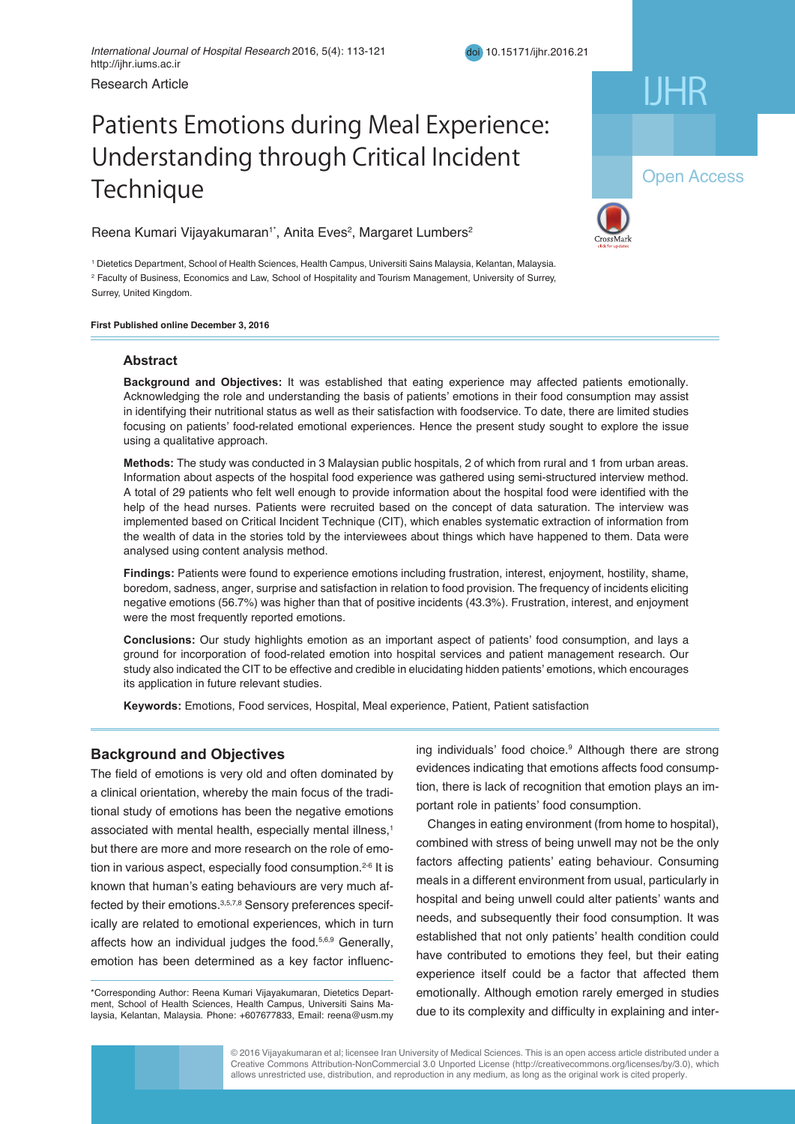# Patients Emotions during Meal Experience: Understanding through Critical Incident Technique **Myser and Hyperplan Hyperplasia**

Reena Kumari Vijayakumaran<sup>1\*</sup>, Anita Eves<sup>2</sup>, Margaret Lumbers<sup>2</sup>

<sup>1</sup> Dietetics Department, School of Health Sciences, Health Campus, Universiti Sains Malaysia, Kelantan, Malaysia. 2 Faculty of Business, Economics and Law, School of Hospitality and Tourism Management, University of Surrey, Surrey, United Kingdom.

**First Published online December 3, 2016** 

# **Abstract**

Acknowledging the role and understanding the basis of patients' emotions in their food consumption may assist focusing on patients' food-related emotional experiences. Hence the present study sought to explore the issue using a qualitative approach. The treatment of EH is challenging, and the treatment of EH is challenging, and  $\Gamma$ **Background and Objectives:** It was established that eating experience may affected patients emotionally. in identifying their nutritional status as well as their satisfaction with foodservice. To date, there are limited studies

Methods: The study was conducted in 3 Malaysian public hospitals, 2 of which from rural and 1 from urban areas. Information about aspects of the hospital food experience was gathered using semi-structured interview method. nomination dood dopot of the allophaneou experience was gainered dong ochil structured the algebra in the anti-A total of 29 patients who felt well enough to provide information about the hospital food were identified with the help of the head nurses. Patients were recruited based on the concept of data saturation. The interview was the wealth of data in the stories told by the interviewees about things which have happened to them. Data were analysed using content analysis method. The type of hyperplasia, the type of hyperplasia,  $\alpha$ implemented based on Critical Incident Technique (CIT), which enables systematic extraction of information from

and the progesterone-metformin group received metformin 1000 mg/day for 3 months in addition to progesterone. Findings: Patients were found to experience emotions including frustration, interest, enjoyment, hostility, shame, boredom, sadness, anger, surprise and satisfaction in relation to food provision. The frequency of incidents eliciting **Figure 3 means (34.5 years)** meaning the main basic position. negative emotions (56.7%) was higher than that of positive incidents (43.3%). Frustration, interest, and enjoyment<br>were the most frequently reported emotions lated for the study sample. There was no significant difference in age, BMI, gravidity, bleeding duration, and duration of

Conclusions: Our study highlights emotion as an important aspect of patients' food consumption, and lays a ground for incorporation of food-related emotion into hospital services and patient management research. Our study also indicated the CIT to be effective and credible in elucidating hidden patients' emotions, which encourages its application in future relevant studies.<br>its application in future relevant studies. group was significantly lower than in the program in the progesterone-alone group (P  $=$  0.01). In addition, the BS reduction in the BS reduction in the BS reduction in the BS reduction in the BS reduction in the BS reduct

**Conclusions:** Our results indicated that administration of progesterone 20 mg/day plus metformin 1000 mg/day

Keywords: Emotions, Food services, Hospital, Meal experience, Patient, Patient satisfaction

# **Eackground and Objectives Endoming Methods Engineering**

associated with mental health, especially mental illness,<sup>1</sup> but there are more and more research on the role of emotion in various aspect, especially food consumption.<sup>2-6</sup> It is known that human's eating behaviours are very much affected by their emotions.<sup>3,5,7,8</sup> Sensory preferences specifically are related to emotional experiences, which in turn The field of emotions is very old and often dominated by a clinical orientation, whereby the main focus of the traditional study of emotions has been the negative emotions affects how an individual judges the food.5,6,9 Generally, emotion has been determined as a key factor influenc-

\*<br>Corresponding Author: Reena Kumari Vijayakumaran, Dietetics Department, School of Health Sciences, Health Campus, Universiti Sains Malaysia, Kelantan, Malaysia. Phone: +607677833, Email: reena@usm.my Corresponding Author: Reena Kumari Vijayakumaran, Dietetics Depart-

around and Objectives **ing individuals'** food choice.<sup>9</sup> Although there are strong evidences indicating that emotions affects food consumption, there is lack of recognition that emotion plays an important role in patients' food consumption.

> Changes in eating environment (from home to hospital), Changes in eating environment (from home to hospital), combined with stress of being unwell may not be the only factors affecting patients' eating behaviour. Consuming meals in a different environment from usual, particularly in hospital and being unwell could alter patients' wants and needs, and subsequently their food consumption. It was established that not only patients' health condition could have contributed to emotions they feel, but their eating most completed to choice the treet, can be called experience itself could be a factor that affected them emotionally. Although emotion rarely emerged in studies due to its complexity and difficulty in explaining and inter-

© 2016 Vijayakumaran et al; licensee Iran University of Medical Sciences. This is an open access article distributed under a Creative Commons Attribution-NonCommercial 3.0 Unported License (http://creativecommons.org/licenses/by/3.0), which allows unrestricted use, distribution, and reproduction in any medium, as long as the original work is cited properly.

IJHR



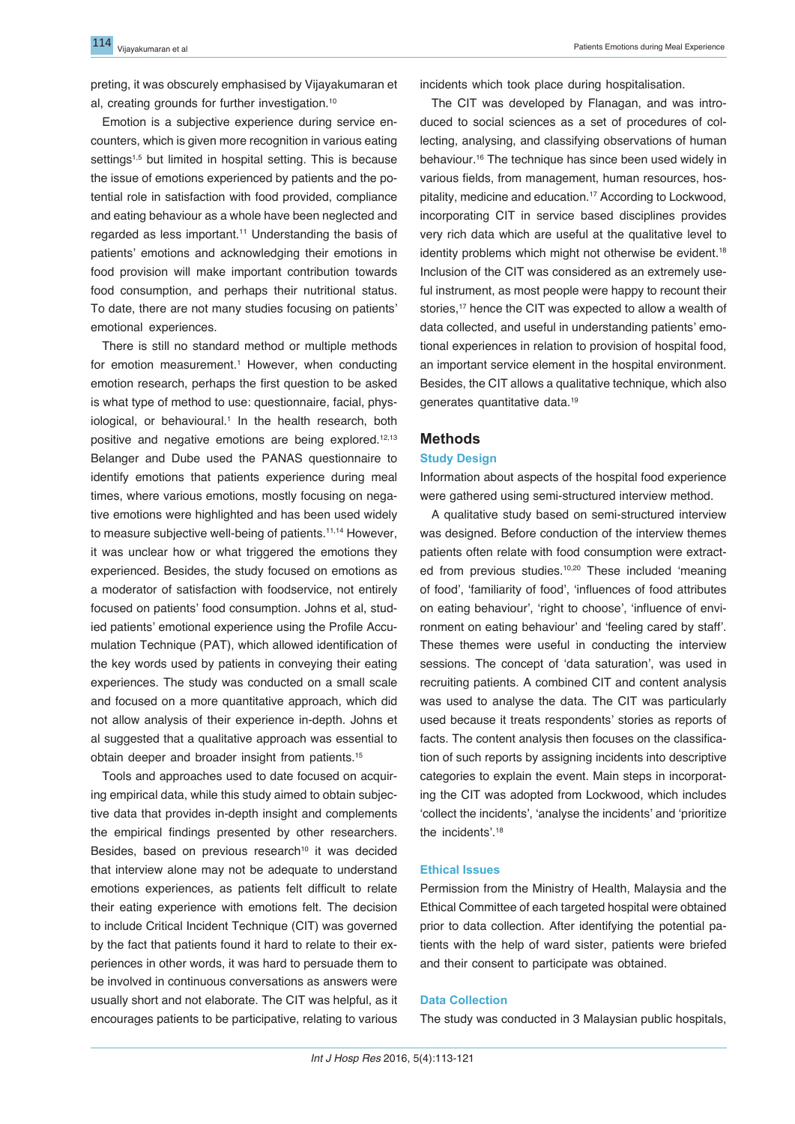preting, it was obscurely emphasised by Vijayakumaran et al, creating grounds for further investigation.10

Emotion is a subjective experience during service encounters, which is given more recognition in various eating settings<sup>1,5</sup> but limited in hospital setting. This is because the issue of emotions experienced by patients and the potential role in satisfaction with food provided, compliance and eating behaviour as a whole have been neglected and regarded as less important.<sup>11</sup> Understanding the basis of patients' emotions and acknowledging their emotions in food provision will make important contribution towards food consumption, and perhaps their nutritional status. To date, there are not many studies focusing on patients' emotional experiences.

There is still no standard method or multiple methods for emotion measurement.<sup>1</sup> However, when conducting emotion research, perhaps the first question to be asked is what type of method to use: questionnaire, facial, physiological, or behavioural.<sup>1</sup> In the health research, both positive and negative emotions are being explored.<sup>12,13</sup> Belanger and Dube used the PANAS questionnaire to identify emotions that patients experience during meal times, where various emotions, mostly focusing on negative emotions were highlighted and has been used widely to measure subjective well-being of patients.<sup>11,14</sup> However, it was unclear how or what triggered the emotions they experienced. Besides, the study focused on emotions as a moderator of satisfaction with foodservice, not entirely focused on patients' food consumption. Johns et al, studied patients' emotional experience using the Profile Accumulation Technique (PAT), which allowed identification of the key words used by patients in conveying their eating experiences. The study was conducted on a small scale and focused on a more quantitative approach, which did not allow analysis of their experience in-depth. Johns et al suggested that a qualitative approach was essential to obtain deeper and broader insight from patients.15

Tools and approaches used to date focused on acquiring empirical data, while this study aimed to obtain subjective data that provides in-depth insight and complements the empirical findings presented by other researchers. Besides, based on previous research<sup>10</sup> it was decided that interview alone may not be adequate to understand emotions experiences, as patients felt difficult to relate their eating experience with emotions felt. The decision to include Critical Incident Technique (CIT) was governed by the fact that patients found it hard to relate to their experiences in other words, it was hard to persuade them to be involved in continuous conversations as answers were usually short and not elaborate. The CIT was helpful, as it encourages patients to be participative, relating to various

incidents which took place during hospitalisation.

The CIT was developed by Flanagan, and was introduced to social sciences as a set of procedures of collecting, analysing, and classifying observations of human behaviour.16 The technique has since been used widely in various fields, from management, human resources, hospitality, medicine and education.<sup>17</sup> According to Lockwood, incorporating CIT in service based disciplines provides very rich data which are useful at the qualitative level to identity problems which might not otherwise be evident.<sup>18</sup> Inclusion of the CIT was considered as an extremely useful instrument, as most people were happy to recount their stories,<sup>17</sup> hence the CIT was expected to allow a wealth of data collected, and useful in understanding patients' emotional experiences in relation to provision of hospital food, an important service element in the hospital environment. Besides, the CIT allows a qualitative technique, which also generates quantitative data.19

# **Methods**

#### **Study Design**

Information about aspects of the hospital food experience were gathered using semi-structured interview method.

A qualitative study based on semi-structured interview was designed. Before conduction of the interview themes patients often relate with food consumption were extracted from previous studies.<sup>10,20</sup> These included 'meaning of food', 'familiarity of food', 'influences of food attributes on eating behaviour', 'right to choose', 'influence of environment on eating behaviour' and 'feeling cared by staff'. These themes were useful in conducting the interview sessions. The concept of 'data saturation', was used in recruiting patients. A combined CIT and content analysis was used to analyse the data. The CIT was particularly used because it treats respondents' stories as reports of facts. The content analysis then focuses on the classification of such reports by assigning incidents into descriptive categories to explain the event. Main steps in incorporating the CIT was adopted from Lockwood, which includes 'collect the incidents', 'analyse the incidents' and 'prioritize the incidents'.18

# **Ethical Issues**

Permission from the Ministry of Health, Malaysia and the Ethical Committee of each targeted hospital were obtained prior to data collection. After identifying the potential patients with the help of ward sister, patients were briefed and their consent to participate was obtained.

# **Data Collection**

The study was conducted in 3 Malaysian public hospitals,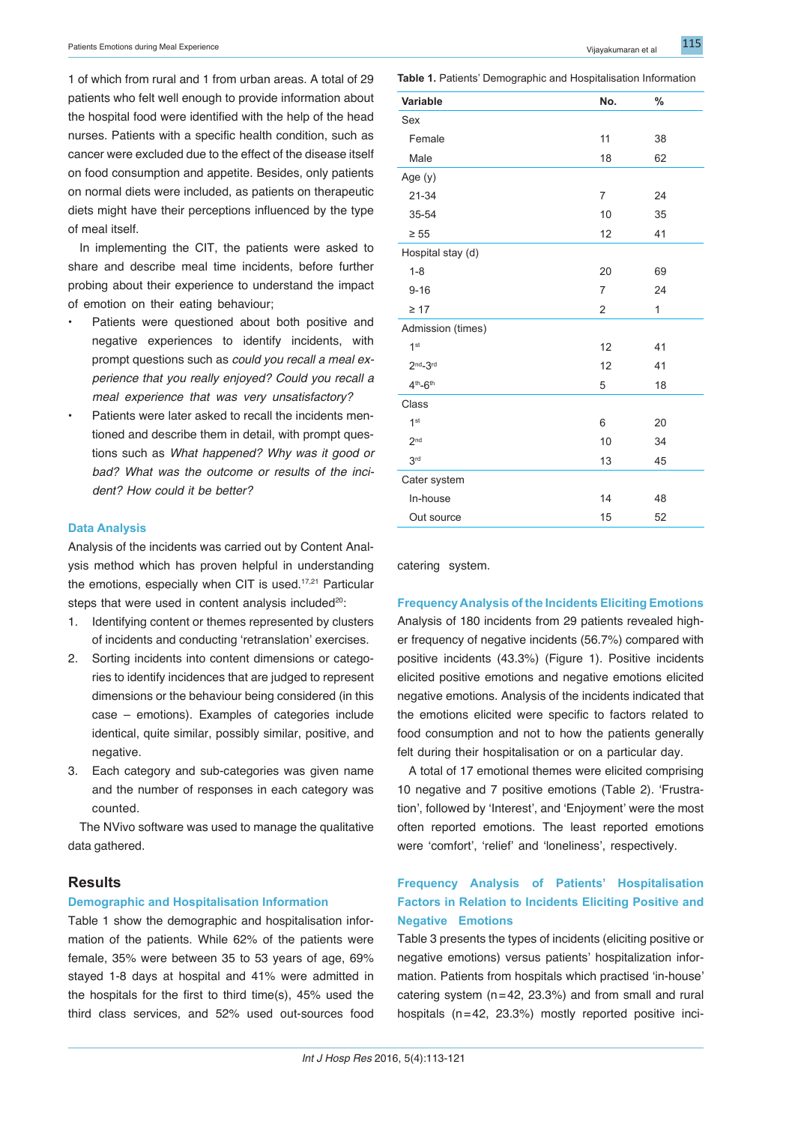1 of which from rural and 1 from urban areas. A total of 29 patients who felt well enough to provide information about the hospital food were identified with the help of the head nurses. Patients with a specific health condition, such as cancer were excluded due to the effect of the disease itself on food consumption and appetite. Besides, only patients on normal diets were included, as patients on therapeutic diets might have their perceptions influenced by the type of meal itself.

In implementing the CIT, the patients were asked to share and describe meal time incidents, before further probing about their experience to understand the impac of emotion on their eating behaviour;

- Patients were questioned about both positive and negative experiences to identify incidents, with prompt questions such as *could you recall a meal experience that you really enjoyed? Could you recall a meal experience that was very unsatisfactory?*
- Patients were later asked to recall the incidents mentioned and describe them in detail, with prompt questions such as *What happened? Why was it good of bad? What was the outcome or results of the incident? How could it be better?*

#### **Data Analysis**

Analysis of the incidents was carried out by Content Analysis method which has proven helpful in understanding the emotions, especially when CIT is used.<sup>17,21</sup> Particular steps that were used in content analysis included<sup>20</sup>:

- 1. Identifying content or themes represented by clusters of incidents and conducting 'retranslation' exercises.
- 2. Sorting incidents into content dimensions or categories to identify incidences that are judged to represent dimensions or the behaviour being considered (in this case – emotions). Examples of categories include identical, quite similar, possibly similar, positive, and negative.
- 3. Each category and sub-categories was given name and the number of responses in each category was counted.

The NVivo software was used to manage the qualitative data gathered.

# **Results**

#### **Demographic and Hospitalisation Information**

Table 1 show the demographic and hospitalisation information of the patients. While 62% of the patients were female, 35% were between 35 to 53 years of age, 69% stayed 1-8 days at hospital and 41% were admitted in the hospitals for the first to third time(s), 45% used the third class services, and 52% used out-sources food

| 11             | 38 |
|----------------|----|
| 18             | 62 |
|                |    |
| $\overline{7}$ | 24 |
| 10             | 35 |
| 12             | 41 |
|                |    |
| 20             | 69 |
| 7              | 24 |
| $\overline{2}$ | 1  |
|                |    |
| 12             | 41 |
|                |    |
| 12             | 41 |
| 5              | 18 |
|                |    |
| 6              | 20 |
| 10             | 34 |
| 13             | 45 |
|                |    |

**Table 1.** Patients' Demographic and Hospitalisation Information

**Variable No. %**

catering system.

**Frequency Analysis of the Incidents Eliciting Emotions**

 $In-house$   $14$   $48$ Out source 15 52

Analysis of 180 incidents from 29 patients revealed higher frequency of negative incidents (56.7%) compared with positive incidents (43.3%) (Figure 1). Positive incidents elicited positive emotions and negative emotions elicited negative emotions. Analysis of the incidents indicated that the emotions elicited were specific to factors related to food consumption and not to how the patients generally felt during their hospitalisation or on a particular day.

A total of 17 emotional themes were elicited comprising 10 negative and 7 positive emotions (Table 2). 'Frustration', followed by 'Interest', and 'Enjoyment' were the most often reported emotions. The least reported emotions were 'comfort', 'relief' and 'loneliness', respectively.

# **Frequency Analysis of Patients' Hospitalisation Factors in Relation to Incidents Eliciting Positive and Negative Emotions**

Table 3 presents the types of incidents (eliciting positive or negative emotions) versus patients' hospitalization information. Patients from hospitals which practised 'in-house' catering system (n=42, 23.3%) and from small and rural hospitals (n=42, 23.3%) mostly reported positive inci-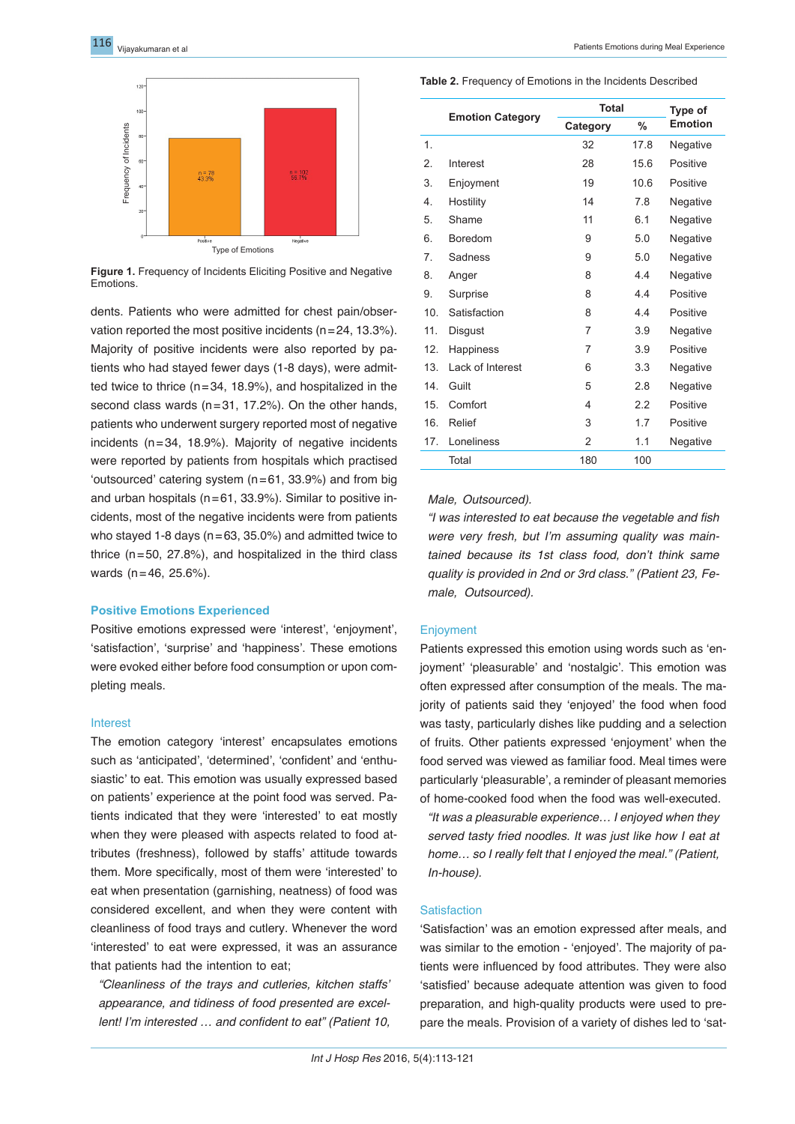

**Figure 1.** Frequency of Incidents Eliciting Positive and Negative **Emotions** 

dents. Patients who were admitted for chest pain/observation reported the most positive incidents ( $n=24$ , 13.3%). Majority of positive incidents were also reported by patients who had stayed fewer days (1-8 days), were admitted twice to thrice (n=34, 18.9%), and hospitalized in the second class wards (n=31, 17.2%). On the other hands, patients who underwent surgery reported most of negative incidents (n=34, 18.9%). Majority of negative incidents were reported by patients from hospitals which practised 'outsourced' catering system (n=61, 33.9%) and from big and urban hospitals ( $n=61$ , 33.9%). Similar to positive incidents, most of the negative incidents were from patients who stayed 1-8 days ( $n=63, 35.0\%$ ) and admitted twice to thrice  $(n=50, 27.8%)$ , and hospitalized in the third class wards (n=46, 25.6%).

#### **Positive Emotions Experienced**

Positive emotions expressed were 'interest', 'enjoyment', 'satisfaction', 'surprise' and 'happiness'. These emotions were evoked either before food consumption or upon completing meals.

#### Interest

The emotion category 'interest' encapsulates emotions such as 'anticipated', 'determined', 'confident' and 'enthusiastic' to eat. This emotion was usually expressed based on patients' experience at the point food was served. Patients indicated that they were 'interested' to eat mostly when they were pleased with aspects related to food attributes (freshness), followed by staffs' attitude towards them. More specifically, most of them were 'interested' to eat when presentation (garnishing, neatness) of food was considered excellent, and when they were content with cleanliness of food trays and cutlery. Whenever the word 'interested' to eat were expressed, it was an assurance that patients had the intention to eat;

*"Cleanliness of the trays and cutleries, kitchen staffs' appearance, and tidiness of food presented are excellent! I'm interested … and confident to eat" (Patient 10,* 

**Table 2.** Frequency of Emotions in the Incidents Described

|                |                         | <b>Total</b>   |      | Type of        |  |
|----------------|-------------------------|----------------|------|----------------|--|
|                | <b>Emotion Category</b> | Category       | %    | <b>Emotion</b> |  |
| $\mathbf{1}$ . |                         | 32             | 17.8 | Negative       |  |
| 2.             | Interest                | 28             | 15.6 | Positive       |  |
| 3.             | Enjoyment               | 19             | 10.6 | Positive       |  |
| 4.             | Hostility               | 14             | 7.8  | Negative       |  |
| 5.             | Shame                   | 11             | 6.1  | Negative       |  |
| 6.             | <b>Boredom</b>          | 9              | 5.0  | Negative       |  |
| 7.             | Sadness                 | 9              | 5.0  | Negative       |  |
| 8.             | Anger                   | 8              | 4.4  | Negative       |  |
| 9.             | Surprise                | 8              | 4.4  | Positive       |  |
| 10.            | Satisfaction            | 8              | 4.4  | Positive       |  |
| 11.            | Disgust                 | 7              | 3.9  | Negative       |  |
| 12.            | Happiness               | 7              | 3.9  | Positive       |  |
| 13.            | Lack of Interest        | 6              | 3.3  | Negative       |  |
| 14.            | Guilt                   | 5              | 2.8  | Negative       |  |
| 15.            | Comfort                 | 4              | 2.2  | Positive       |  |
| 16.            | Relief                  | 3              | 1.7  | Positive       |  |
| 17.            | Loneliness              | $\overline{2}$ | 1.1  | Negative       |  |
|                | Total                   | 180            | 100  |                |  |

*Male, Outsourced).* 

*"I was interested to eat because the vegetable and fish were very fresh, but I'm assuming quality was maintained because its 1st class food, don't think same quality is provided in 2nd or 3rd class." (Patient 23, Female, Outsourced).*

# **Enjoyment**

Patients expressed this emotion using words such as 'enjoyment' 'pleasurable' and 'nostalgic'. This emotion was often expressed after consumption of the meals. The majority of patients said they 'enjoyed' the food when food was tasty, particularly dishes like pudding and a selection of fruits. Other patients expressed 'enjoyment' when the food served was viewed as familiar food. Meal times were particularly 'pleasurable', a reminder of pleasant memories of home-cooked food when the food was well-executed.

*"It was a pleasurable experience… I enjoyed when they served tasty fried noodles. It was just like how I eat at home… so I really felt that I enjoyed the meal." (Patient, In-house).*

#### **Satisfaction**

'Satisfaction' was an emotion expressed after meals, and was similar to the emotion - 'enjoyed'. The majority of patients were influenced by food attributes. They were also 'satisfied' because adequate attention was given to food preparation, and high-quality products were used to prepare the meals. Provision of a variety of dishes led to 'sat-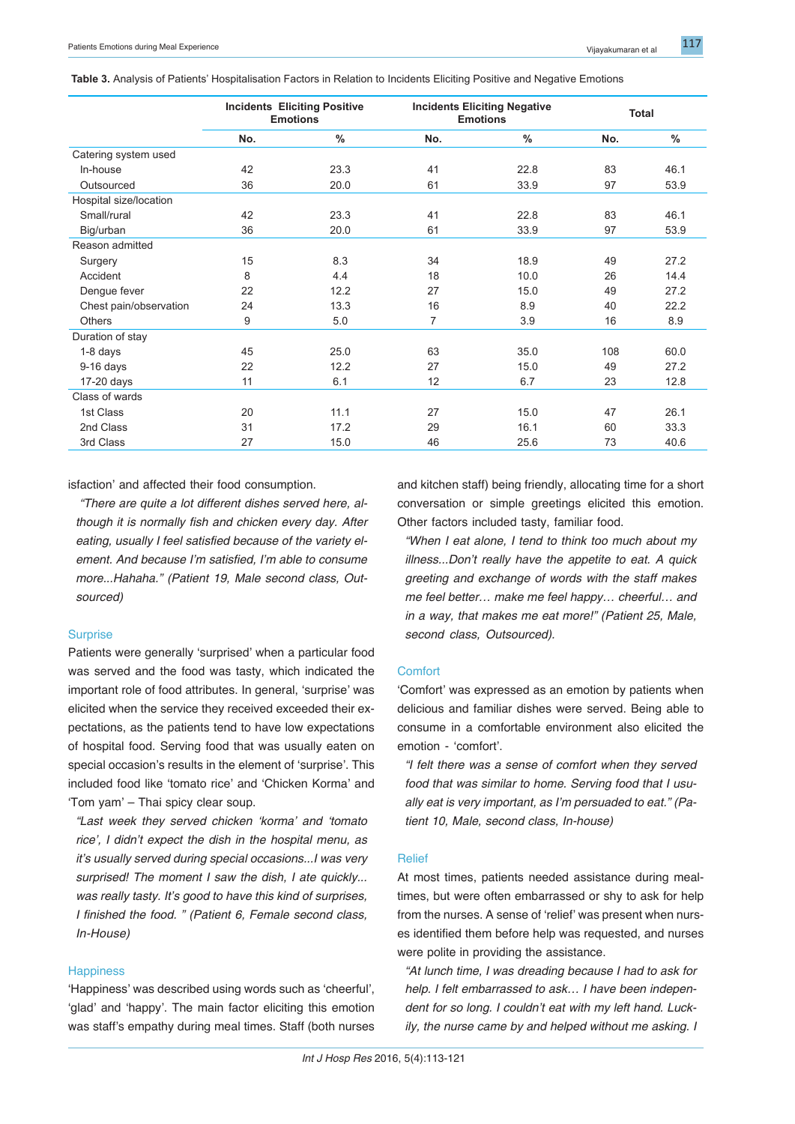| <b>Table 3.</b> Analysis of Patients' Hospitalisation Factors in Relation to Incidents Eliciting Positive and Negative Emotions |  |  |  |  |
|---------------------------------------------------------------------------------------------------------------------------------|--|--|--|--|
|---------------------------------------------------------------------------------------------------------------------------------|--|--|--|--|

|                        | <b>Incidents Eliciting Positive</b><br><b>Emotions</b> |               | <b>Incidents Eliciting Negative</b><br><b>Emotions</b> |               | <b>Total</b> |               |
|------------------------|--------------------------------------------------------|---------------|--------------------------------------------------------|---------------|--------------|---------------|
|                        | No.                                                    | $\frac{0}{0}$ | No.                                                    | $\frac{0}{0}$ | No.          | $\frac{0}{0}$ |
| Catering system used   |                                                        |               |                                                        |               |              |               |
| In-house               | 42                                                     | 23.3          | 41                                                     | 22.8          | 83           | 46.1          |
| Outsourced             | 36                                                     | 20.0          | 61                                                     | 33.9          | 97           | 53.9          |
| Hospital size/location |                                                        |               |                                                        |               |              |               |
| Small/rural            | 42                                                     | 23.3          | 41                                                     | 22.8          | 83           | 46.1          |
| Big/urban              | 36                                                     | 20.0          | 61                                                     | 33.9          | 97           | 53.9          |
| Reason admitted        |                                                        |               |                                                        |               |              |               |
| Surgery                | 15                                                     | 8.3           | 34                                                     | 18.9          | 49           | 27.2          |
| Accident               | 8                                                      | 4.4           | 18                                                     | 10.0          | 26           | 14.4          |
| Dengue fever           | 22                                                     | 12.2          | 27                                                     | 15.0          | 49           | 27.2          |
| Chest pain/observation | 24                                                     | 13.3          | 16                                                     | 8.9           | 40           | 22.2          |
| <b>Others</b>          | 9                                                      | 5.0           | 7                                                      | 3.9           | 16           | 8.9           |
| Duration of stay       |                                                        |               |                                                        |               |              |               |
| $1-8$ days             | 45                                                     | 25.0          | 63                                                     | 35.0          | 108          | 60.0          |
| $9-16$ days            | 22                                                     | 12.2          | 27                                                     | 15.0          | 49           | 27.2          |
| 17-20 days             | 11                                                     | 6.1           | 12                                                     | 6.7           | 23           | 12.8          |
| Class of wards         |                                                        |               |                                                        |               |              |               |
| 1st Class              | 20                                                     | 11.1          | 27                                                     | 15.0          | 47           | 26.1          |
| 2nd Class              | 31                                                     | 17.2          | 29                                                     | 16.1          | 60           | 33.3          |
| 3rd Class              | 27                                                     | 15.0          | 46                                                     | 25.6          | 73           | 40.6          |

isfaction' and affected their food consumption.

 *"There are quite a lot different dishes served here, although it is normally fish and chicken every day. After eating, usually I feel satisfied because of the variety element. And because I'm satisfied, I'm able to consume more...Hahaha." (Patient 19, Male second class, Outsourced)*

# **Surprise**

Patients were generally 'surprised' when a particular food was served and the food was tasty, which indicated the important role of food attributes. In general, 'surprise' was elicited when the service they received exceeded their expectations, as the patients tend to have low expectations of hospital food. Serving food that was usually eaten on special occasion's results in the element of 'surprise'. This included food like 'tomato rice' and 'Chicken Korma' and 'Tom yam' – Thai spicy clear soup.

*"Last week they served chicken 'korma' and 'tomato rice', I didn't expect the dish in the hospital menu, as it's usually served during special occasions...I was very surprised! The moment I saw the dish, I ate quickly... was really tasty. It's good to have this kind of surprises, I finished the food. " (Patient 6, Female second class, In-House)*

# **Happiness**

'Happiness' was described using words such as 'cheerful', 'glad' and 'happy'. The main factor eliciting this emotion was staff's empathy during meal times. Staff (both nurses and kitchen staff) being friendly, allocating time for a short conversation or simple greetings elicited this emotion. Other factors included tasty, familiar food.

*"When I eat alone, I tend to think too much about my illness...Don't really have the appetite to eat. A quick greeting and exchange of words with the staff makes me feel better… make me feel happy… cheerful… and in a way, that makes me eat more!" (Patient 25, Male, second class, Outsourced).*

# Comfort

'Comfort' was expressed as an emotion by patients when delicious and familiar dishes were served. Being able to consume in a comfortable environment also elicited the emotion - 'comfort'.

*"I felt there was a sense of comfort when they served food that was similar to home. Serving food that I usually eat is very important, as I'm persuaded to eat." (Patient 10, Male, second class, In-house)*

#### Relief

At most times, patients needed assistance during mealtimes, but were often embarrassed or shy to ask for help from the nurses. A sense of 'relief' was present when nurses identified them before help was requested, and nurses were polite in providing the assistance.

*"At lunch time, I was dreading because I had to ask for help. I felt embarrassed to ask… I have been independent for so long. I couldn't eat with my left hand. Luckily, the nurse came by and helped without me asking. I*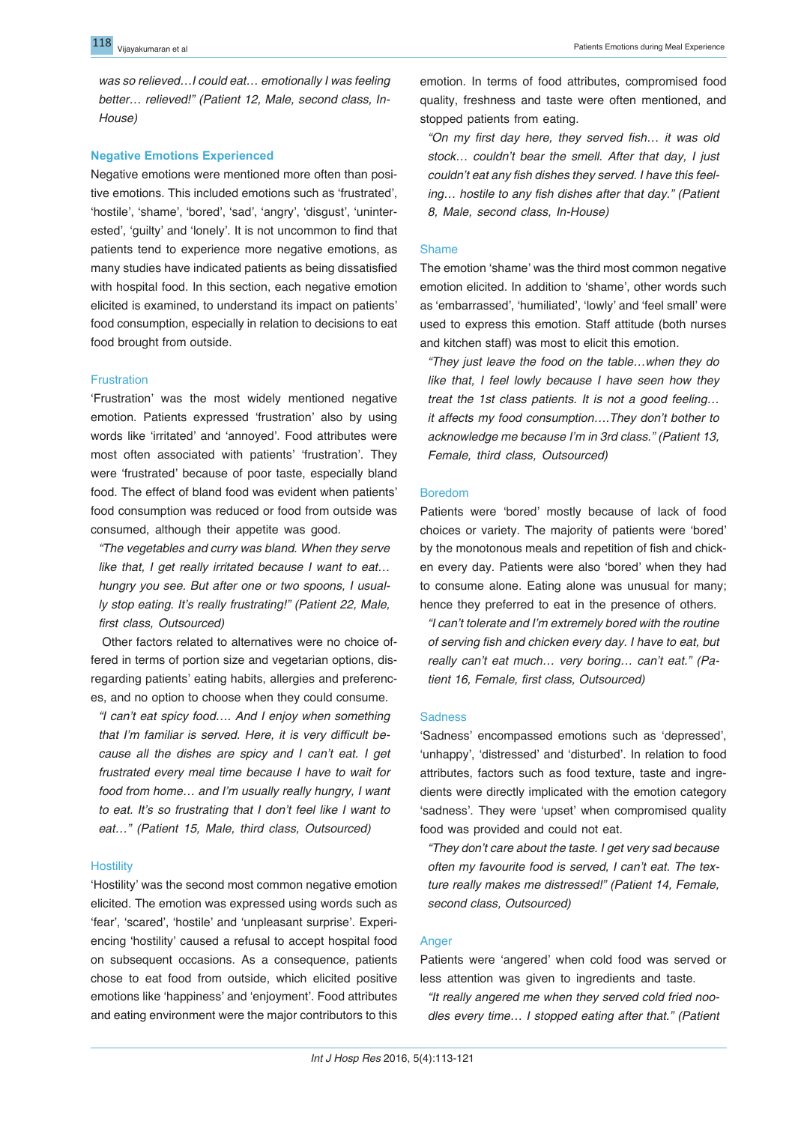*was so relieved…I could eat… emotionally I was feeling better… relieved!" (Patient 12, Male, second class, In-House)* 

# **Negative Emotions Experienced**

Negative emotions were mentioned more often than positive emotions. This included emotions such as 'frustrated', 'hostile', 'shame', 'bored', 'sad', 'angry', 'disgust', 'uninterested', 'guilty' and 'lonely'. It is not uncommon to find that patients tend to experience more negative emotions, as many studies have indicated patients as being dissatisfied with hospital food. In this section, each negative emotion elicited is examined, to understand its impact on patients' food consumption, especially in relation to decisions to eat food brought from outside.

# **Frustration**

'Frustration' was the most widely mentioned negative emotion. Patients expressed 'frustration' also by using words like 'irritated' and 'annoyed'. Food attributes were most often associated with patients' 'frustration'. They were 'frustrated' because of poor taste, especially bland food. The effect of bland food was evident when patients' food consumption was reduced or food from outside was consumed, although their appetite was good.

*"The vegetables and curry was bland. When they serve like that, I get really irritated because I want to eat… hungry you see. But after one or two spoons, I usually stop eating. It's really frustrating!" (Patient 22, Male, first class, Outsourced)*

Other factors related to alternatives were no choice offered in terms of portion size and vegetarian options, disregarding patients' eating habits, allergies and preferences, and no option to choose when they could consume.

*"I can't eat spicy food…. And I enjoy when something that I'm familiar is served. Here, it is very difficult because all the dishes are spicy and I can't eat. I get frustrated every meal time because I have to wait for food from home… and I'm usually really hungry, I want to eat. It's so frustrating that I don't feel like I want to eat…" (Patient 15, Male, third class, Outsourced)*

# **Hostility**

'Hostility' was the second most common negative emotion elicited. The emotion was expressed using words such as 'fear', 'scared', 'hostile' and 'unpleasant surprise'. Experiencing 'hostility' caused a refusal to accept hospital food on subsequent occasions. As a consequence, patients chose to eat food from outside, which elicited positive emotions like 'happiness' and 'enjoyment'. Food attributes and eating environment were the major contributors to this

emotion. In terms of food attributes, compromised food quality, freshness and taste were often mentioned, and stopped patients from eating.

*"On my first day here, they served fish… it was old stock… couldn't bear the smell. After that day, I just couldn't eat any fish dishes they served. I have this feeling… hostile to any fish dishes after that day." (Patient 8, Male, second class, In-House)*

# Shame

The emotion 'shame' was the third most common negative emotion elicited. In addition to 'shame', other words such as 'embarrassed', 'humiliated', 'lowly' and 'feel small' were used to express this emotion. Staff attitude (both nurses and kitchen staff) was most to elicit this emotion.

*"They just leave the food on the table…when they do like that, I feel lowly because I have seen how they treat the 1st class patients. It is not a good feeling… it affects my food consumption….They don't bother to acknowledge me because I'm in 3rd class." (Patient 13, Female, third class, Outsourced)*

# Boredom

Patients were 'bored' mostly because of lack of food choices or variety. The majority of patients were 'bored' by the monotonous meals and repetition of fish and chicken every day. Patients were also 'bored' when they had to consume alone. Eating alone was unusual for many; hence they preferred to eat in the presence of others.

*"I can't tolerate and I'm extremely bored with the routine of serving fish and chicken every day. I have to eat, but really can't eat much… very boring… can't eat." (Patient 16, Female, first class, Outsourced)*

# **Sadness**

'Sadness' encompassed emotions such as 'depressed', 'unhappy', 'distressed' and 'disturbed'. In relation to food attributes, factors such as food texture, taste and ingredients were directly implicated with the emotion category 'sadness'. They were 'upset' when compromised quality food was provided and could not eat.

*"They don't care about the taste. I get very sad because often my favourite food is served, I can't eat. The texture really makes me distressed!" (Patient 14, Female, second class, Outsourced)*

# Anger

Patients were 'angered' when cold food was served or less attention was given to ingredients and taste.

*"It really angered me when they served cold fried noodles every time… I stopped eating after that." (Patient*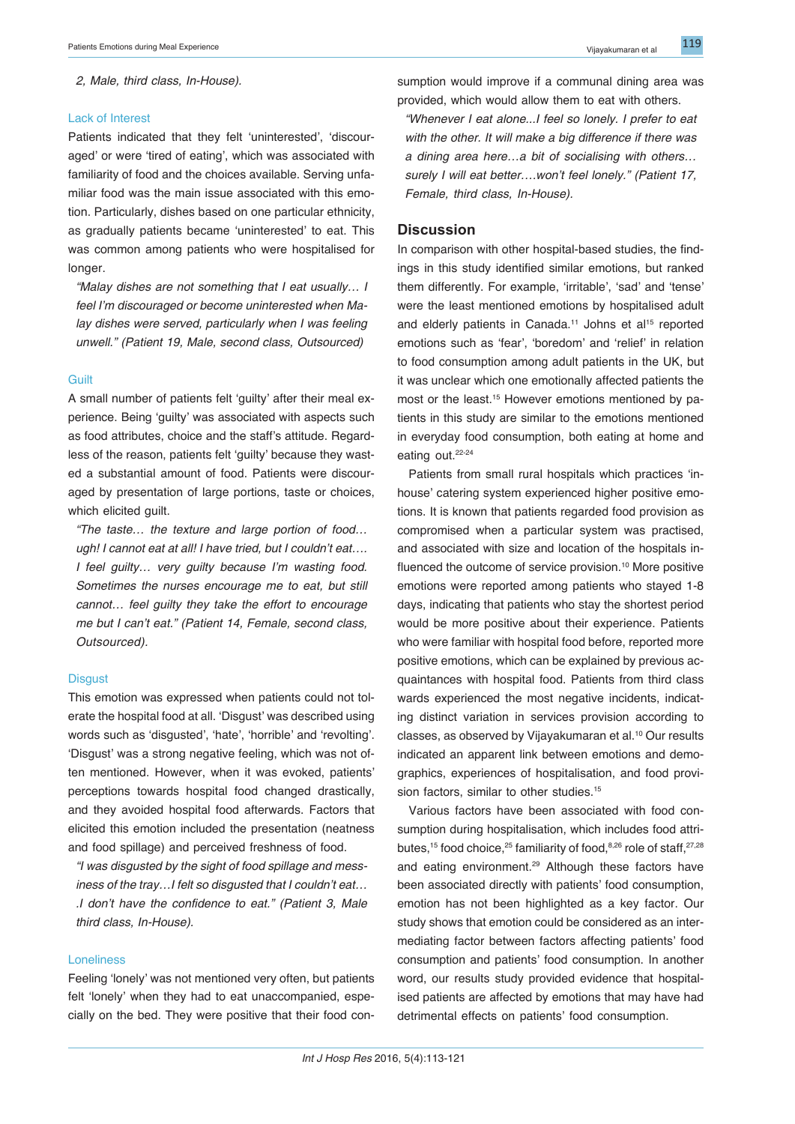*2, Male, third class, In-House).*

#### Lack of Interest

Patients indicated that they felt 'uninterested', 'discouraged' or were 'tired of eating', which was associated with familiarity of food and the choices available. Serving unfamiliar food was the main issue associated with this emotion. Particularly, dishes based on one particular ethnicity, as gradually patients became 'uninterested' to eat. This was common among patients who were hospitalised for longer.

*"Malay dishes are not something that I eat usually… I feel I'm discouraged or become uninterested when Malay dishes were served, particularly when I was feeling unwell." (Patient 19, Male, second class, Outsourced)*

#### **Guilt**

A small number of patients felt 'guilty' after their meal experience. Being 'guilty' was associated with aspects such as food attributes, choice and the staff's attitude. Regardless of the reason, patients felt 'guilty' because they wasted a substantial amount of food. Patients were discouraged by presentation of large portions, taste or choices, which elicited guilt.

*"The taste… the texture and large portion of food… ugh! I cannot eat at all! I have tried, but I couldn't eat…. I feel guilty… very guilty because I'm wasting food. Sometimes the nurses encourage me to eat, but still cannot… feel guilty they take the effort to encourage me but I can't eat." (Patient 14, Female, second class, Outsourced).*

#### **Disgust**

This emotion was expressed when patients could not tolerate the hospital food at all. 'Disgust' was described using words such as 'disgusted', 'hate', 'horrible' and 'revolting'. 'Disgust' was a strong negative feeling, which was not often mentioned. However, when it was evoked, patients' perceptions towards hospital food changed drastically, and they avoided hospital food afterwards. Factors that elicited this emotion included the presentation (neatness and food spillage) and perceived freshness of food.

*"I was disgusted by the sight of food spillage and messiness of the tray…I felt so disgusted that I couldn't eat… .I don't have the confidence to eat." (Patient 3, Male third class, In-House).*

# Loneliness

Feeling 'lonely' was not mentioned very often, but patients felt 'lonely' when they had to eat unaccompanied, especially on the bed. They were positive that their food consumption would improve if a communal dining area was provided, which would allow them to eat with others.

*"Whenever I eat alone...I feel so lonely. I prefer to eat with the other. It will make a big difference if there was a dining area here…a bit of socialising with others… surely I will eat better….won't feel lonely." (Patient 17, Female, third class, In-House).*

# **Discussion**

In comparison with other hospital-based studies, the findings in this study identified similar emotions, but ranked them differently. For example, 'irritable', 'sad' and 'tense' were the least mentioned emotions by hospitalised adult and elderly patients in Canada.<sup>11</sup> Johns et al<sup>15</sup> reported emotions such as 'fear', 'boredom' and 'relief' in relation to food consumption among adult patients in the UK, but it was unclear which one emotionally affected patients the most or the least.<sup>15</sup> However emotions mentioned by patients in this study are similar to the emotions mentioned in everyday food consumption, both eating at home and eating out.<sup>22-24</sup>

Patients from small rural hospitals which practices 'inhouse' catering system experienced higher positive emotions. It is known that patients regarded food provision as compromised when a particular system was practised, and associated with size and location of the hospitals influenced the outcome of service provision.<sup>10</sup> More positive emotions were reported among patients who stayed 1-8 days, indicating that patients who stay the shortest period would be more positive about their experience. Patients who were familiar with hospital food before, reported more positive emotions, which can be explained by previous acquaintances with hospital food. Patients from third class wards experienced the most negative incidents, indicating distinct variation in services provision according to classes, as observed by Vijayakumaran et al.<sup>10</sup> Our results indicated an apparent link between emotions and demographics, experiences of hospitalisation, and food provision factors, similar to other studies.<sup>15</sup>

Various factors have been associated with food consumption during hospitalisation, which includes food attributes,<sup>15</sup> food choice,<sup>25</sup> familiarity of food,<sup>8,26</sup> role of staff,<sup>27,28</sup> and eating environment.<sup>29</sup> Although these factors have been associated directly with patients' food consumption, emotion has not been highlighted as a key factor. Our study shows that emotion could be considered as an intermediating factor between factors affecting patients' food consumption and patients' food consumption. In another word, our results study provided evidence that hospitalised patients are affected by emotions that may have had detrimental effects on patients' food consumption.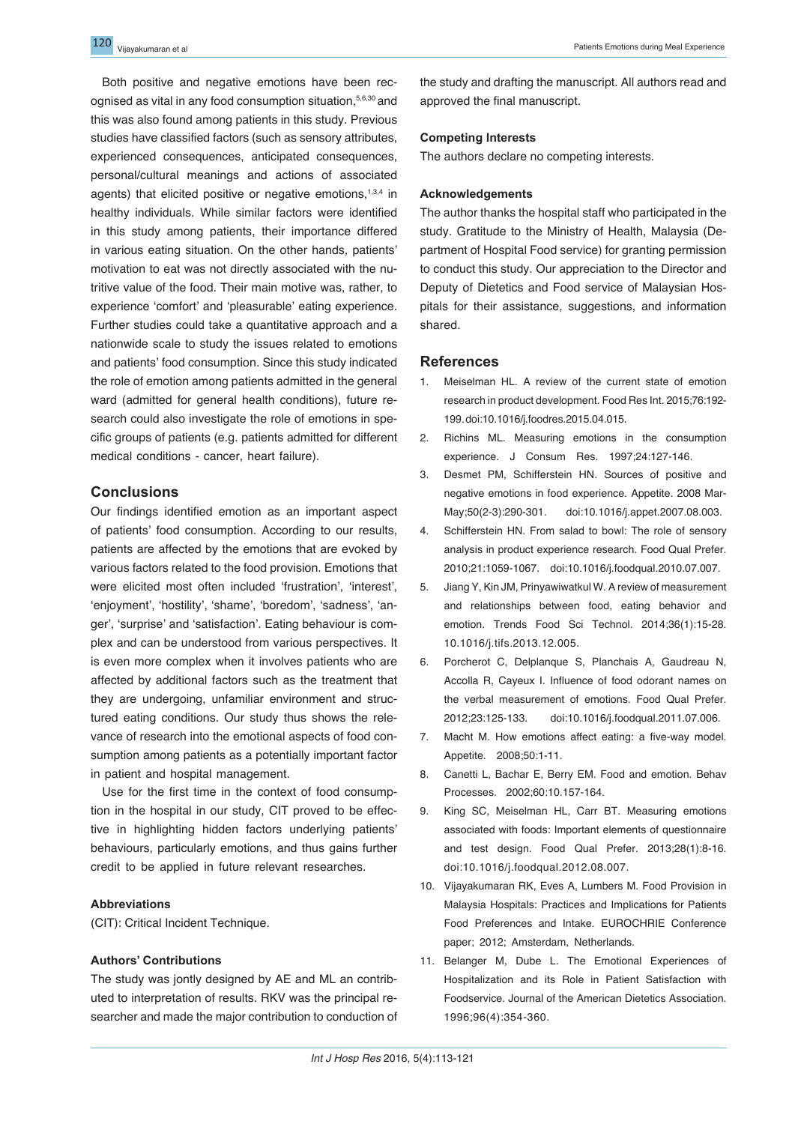Both positive and negative emotions have been recognised as vital in any food consumption situation,5,6,30 and this was also found among patients in this study. Previous studies have classified factors (such as sensory attributes, experienced consequences, anticipated consequences, personal/cultural meanings and actions of associated agents) that elicited positive or negative emotions,<sup>1,3,4</sup> in healthy individuals. While similar factors were identified in this study among patients, their importance differed in various eating situation. On the other hands, patients' motivation to eat was not directly associated with the nutritive value of the food. Their main motive was, rather, to experience 'comfort' and 'pleasurable' eating experience. Further studies could take a quantitative approach and a nationwide scale to study the issues related to emotions and patients' food consumption. Since this study indicated the role of emotion among patients admitted in the general ward (admitted for general health conditions), future research could also investigate the role of emotions in specific groups of patients (e.g. patients admitted for different medical conditions - cancer, heart failure).

# **Conclusions**

Our findings identified emotion as an important aspect of patients' food consumption. According to our results, patients are affected by the emotions that are evoked by various factors related to the food provision. Emotions that were elicited most often included 'frustration', 'interest', 'enjoyment', 'hostility', 'shame', 'boredom', 'sadness', 'anger', 'surprise' and 'satisfaction'. Eating behaviour is complex and can be understood from various perspectives. It is even more complex when it involves patients who are affected by additional factors such as the treatment that they are undergoing, unfamiliar environment and structured eating conditions. Our study thus shows the relevance of research into the emotional aspects of food consumption among patients as a potentially important factor in patient and hospital management.

Use for the first time in the context of food consumption in the hospital in our study, CIT proved to be effective in highlighting hidden factors underlying patients' behaviours, particularly emotions, and thus gains further credit to be applied in future relevant researches.

#### **Abbreviations**

(CIT): Critical Incident Technique.

# **Authors' Contributions**

The study was jontly designed by AE and ML an contributed to interpretation of results. RKV was the principal researcher and made the major contribution to conduction of the study and drafting the manuscript. All authors read and approved the final manuscript.

# **Competing Interests**

The authors declare no competing interests.

#### **Acknowledgements**

The author thanks the hospital staff who participated in the study. Gratitude to the Ministry of Health, Malaysia (Department of Hospital Food service) for granting permission to conduct this study. Our appreciation to the Director and Deputy of Dietetics and Food service of Malaysian Hospitals for their assistance, suggestions, and information shared.

# **References**

- 1. Meiselman HL. A review of the current state of emotion research in product development. Food Res Int. 2015;76:192- 199.doi:10.1016/j.foodres.2015.04.015.
- 2. Richins ML. Measuring emotions in the consumption experience. J Consum Res. 1997;24:127-146.
- 3. Desmet PM, Schifferstein HN. Sources of positive and negative emotions in food experience. Appetite. 2008 Mar-May;50(2-3):290-301. doi:10.1016/j.appet.2007.08.003.
- 4. Schifferstein HN. From salad to bowl: The role of sensory analysis in product experience research. Food Qual Prefer. 2010;21:1059-1067. doi:10.1016/j.foodqual.2010.07.007.
- 5. Jiang Y, Kin JM, Prinyawiwatkul W. A review of measurement and relationships between food, eating behavior and emotion. Trends Food Sci Technol. 2014;36(1):15-28. 10.1016/j.tifs.2013.12.005.
- 6. Porcherot C, Delplanque S, Planchais A, Gaudreau N, Accolla R, Cayeux I. Influence of food odorant names on the verbal measurement of emotions. Food Qual Prefer. 2012;23:125-133. doi:10.1016/j.foodqual.2011.07.006.
- 7. Macht M. How emotions affect eating: a five-way model. Appetite. 2008;50:1-11.
- 8. Canetti L, Bachar E, Berry EM. Food and emotion. Behav Processes. 2002;60:10.157-164.
- 9. King SC, Meiselman HL, Carr BT. Measuring emotions associated with foods: Important elements of questionnaire and test design. Food Qual Prefer. 2013;28(1):8-16. doi:10.1016/j.foodqual.2012.08.007.
- 10. Vijayakumaran RK, Eves A, Lumbers M. Food Provision in Malaysia Hospitals: Practices and Implications for Patients Food Preferences and Intake. EUROCHRIE Conference paper; 2012; Amsterdam, Netherlands.
- 11. Belanger M, Dube L. The Emotional Experiences of Hospitalization and its Role in Patient Satisfaction with Foodservice. Journal of the American Dietetics Association. 1996;96(4):354-360.